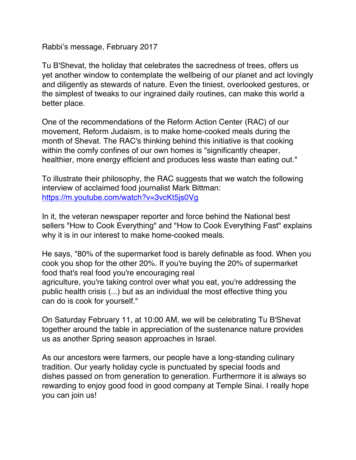Rabbi's message, February 2017

Tu B'Shevat, the holiday that celebrates the sacredness of trees, offers us yet another window to contemplate the wellbeing of our planet and act lovingly and diligently as stewards of nature. Even the tiniest, overlooked gestures, or the simplest of tweaks to our ingrained daily routines, can make this world a better place.

One of the recommendations of the Reform Action Center (RAC) of our movement, Reform Judaism, is to make home-cooked meals during the month of Shevat. The RAC's thinking behind this initiative is that cooking within the comfy confines of our own homes is "significantly cheaper, healthier, more energy efficient and produces less waste than eating out."

To illustrate their philosophy, the RAC suggests that we watch the following interview of acclaimed food journalist Mark Bittman: https://m.youtube.com/watch?v=3vcKt5js0Vg

In it, the veteran newspaper reporter and force behind the National best sellers "How to Cook Everything" and "How to Cook Everything Fast" explains why it is in our interest to make home-cooked meals.

He says, "80% of the supermarket food is barely definable as food. When you cook you shop for the other 20%. If you're buying the 20% of supermarket food that's real food you're encouraging real agriculture, you're taking control over what you eat, you're addressing the public health crisis (...) but as an individual the most effective thing you can do is cook for yourself."

On Saturday February 11, at 10:00 AM, we will be celebrating Tu B'Shevat together around the table in appreciation of the sustenance nature provides us as another Spring season approaches in Israel.

As our ancestors were farmers, our people have a long-standing culinary tradition. Our yearly holiday cycle is punctuated by special foods and dishes passed on from generation to generation. Furthermore it is always so rewarding to enjoy good food in good company at Temple Sinai. I really hope you can join us!